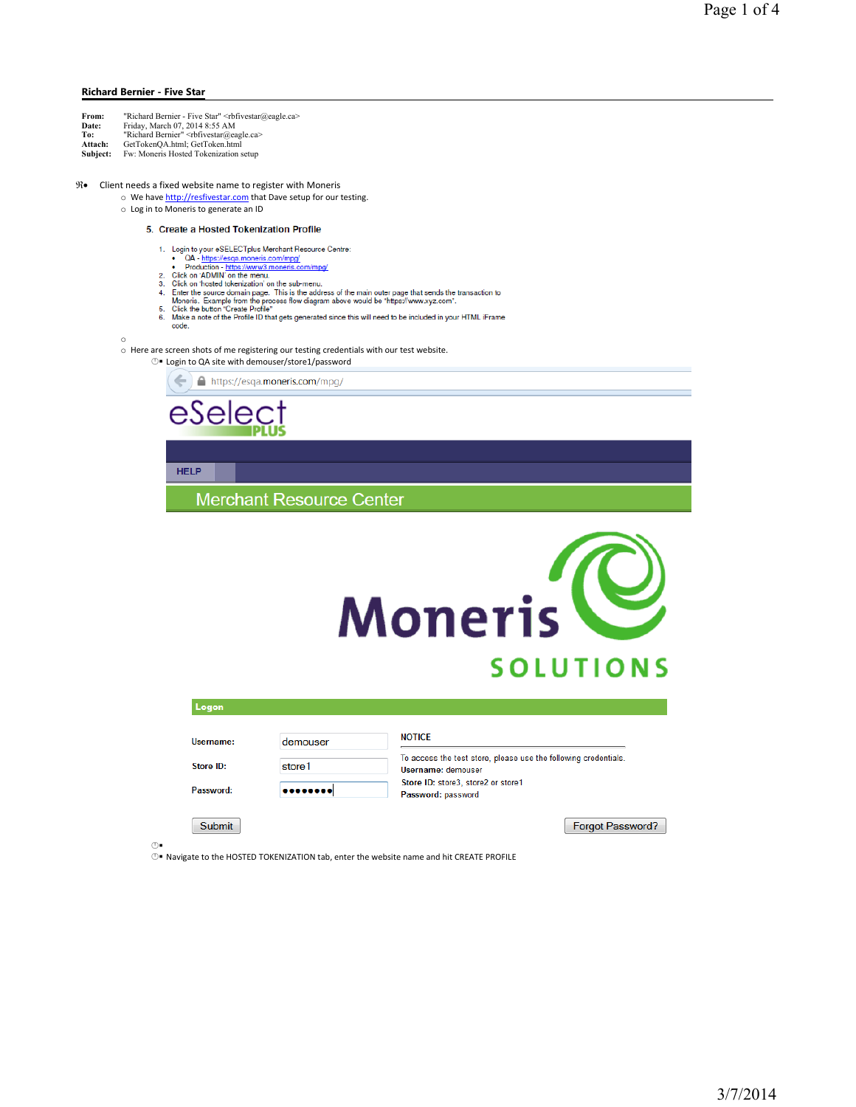## Richard Bernier - Five Star

| From:<br>Date: | "Richard Bernier - Five Star" <rbfivestar@eagle.ca><br/>Friday, March 07, 2014 8:55 AM</rbfivestar@eagle.ca> |
|----------------|--------------------------------------------------------------------------------------------------------------|
| To:            | "Richard Bernier" <rbfivestar@eagle.ca></rbfivestar@eagle.ca>                                                |
| Attach:        | GetTokenOA.html: GetToken.html                                                                               |
| Subject:       | Fw: Moneris Hosted Tokenization setup                                                                        |

## $\mathfrak{R}\bullet$ Client needs a fixed website name to register with Moneris

- o We have http://resfivestar.com that Dave setup for our testing.
- o Log in to Moneris to generate an ID

## 5. Create a Hosted Tokenization Profile

- -
- 
- 
- 
- 
- Create a Hosted Tokenization Profile<br>
1. Login to your eSELECTplus Merchant Resource Centre:<br>
 OA <u>https://esg.a.moneris.com/mpg/</u><br>
2. Click on 'ADMIN' on the menu.<br>
3. Click on 'ADMIN' on the menu.<br>
4. Enter the sourc

o

## o Here are screen shots of me registering our testing credentials with our test website.

**□** Login to QA site with demouser/store1/password



**HELP** 

**Merchant Resource Center** 



| Logon         |          |                                                                                       |
|---------------|----------|---------------------------------------------------------------------------------------|
| Username:     | demouser | <b>NOTICE</b>                                                                         |
| Store ID:     | store1   | To access the test store, please use the following credentials.<br>Username: demouser |
| Password:     |          | Store ID: store3, store2 or store1<br>Password: password                              |
| <b>Submit</b> |          | <b>Forgot Password?</b>                                                               |

 $_{\odot}$ 

- Navigate to the HOSTED TOKENIZATION tab, enter the website name and hit CREATE PROFILE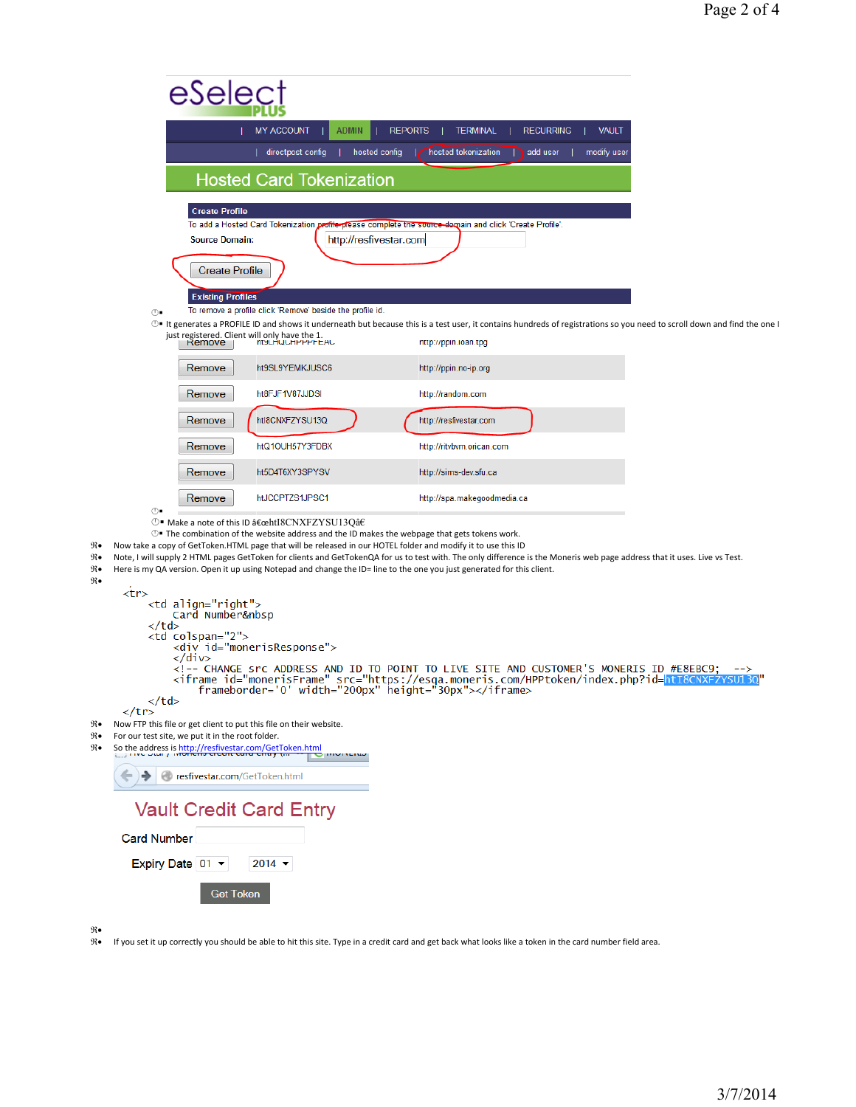|                                                                            | eSelec:                                                                                                                                                                                                                                                                                                                                                                                                                                                                                                                                                                           |                                                                                                                                                                                                                                                                                                                                  |  |
|----------------------------------------------------------------------------|-----------------------------------------------------------------------------------------------------------------------------------------------------------------------------------------------------------------------------------------------------------------------------------------------------------------------------------------------------------------------------------------------------------------------------------------------------------------------------------------------------------------------------------------------------------------------------------|----------------------------------------------------------------------------------------------------------------------------------------------------------------------------------------------------------------------------------------------------------------------------------------------------------------------------------|--|
|                                                                            | MY ACCOUNT<br><b>REPORTS</b><br><b>VAULT</b><br><b>ADMIN</b><br><b>TERMINAL</b><br><b>RECURRING</b>                                                                                                                                                                                                                                                                                                                                                                                                                                                                               |                                                                                                                                                                                                                                                                                                                                  |  |
|                                                                            | hosted config<br>hosted tokenization<br>  directpost config<br>add user<br>modify user                                                                                                                                                                                                                                                                                                                                                                                                                                                                                            |                                                                                                                                                                                                                                                                                                                                  |  |
|                                                                            | <b>Hosted Card Tokenization</b>                                                                                                                                                                                                                                                                                                                                                                                                                                                                                                                                                   |                                                                                                                                                                                                                                                                                                                                  |  |
|                                                                            | <b>Create Profile</b><br>To add a Hosted Card Tokenization profile-please complete the source demain and click 'Create Profile'.<br><b>Source Domain:</b><br>http://resfivestar.com<br><b>Create Profile</b>                                                                                                                                                                                                                                                                                                                                                                      |                                                                                                                                                                                                                                                                                                                                  |  |
|                                                                            | <b>Existing Profiles</b><br>To remove a profile click 'Remove' beside the profile id.                                                                                                                                                                                                                                                                                                                                                                                                                                                                                             |                                                                                                                                                                                                                                                                                                                                  |  |
|                                                                            | ⊕∎<br>1 enerates a PROFILE ID and shows it underneath but because this is a test user, it contains hundreds of registrations so you need to scroll down and find the one<br>just registered. Client will only have the 1.<br><b>MULHUUHHHHEAU</b><br>nttp://ppin.ioan.tpg<br>Remove                                                                                                                                                                                                                                                                                               |                                                                                                                                                                                                                                                                                                                                  |  |
|                                                                            | ht9SL9YEMKJUSC6<br>Remove<br>http://ppin.no-ip.org                                                                                                                                                                                                                                                                                                                                                                                                                                                                                                                                |                                                                                                                                                                                                                                                                                                                                  |  |
|                                                                            | ht8FJF1V87JJDSI<br>Remove<br>http://random.com                                                                                                                                                                                                                                                                                                                                                                                                                                                                                                                                    |                                                                                                                                                                                                                                                                                                                                  |  |
|                                                                            | htl8CNXFZYSU13Q<br>Remove<br>http://resfivestar.com                                                                                                                                                                                                                                                                                                                                                                                                                                                                                                                               |                                                                                                                                                                                                                                                                                                                                  |  |
|                                                                            | Remove<br>htQ1OUH57Y3FDBX<br>http://ritvbvm.orican.com                                                                                                                                                                                                                                                                                                                                                                                                                                                                                                                            |                                                                                                                                                                                                                                                                                                                                  |  |
|                                                                            | Remove<br>http://sims-dev.sfu.ca<br>ht5D4T6XY3SPYSV                                                                                                                                                                                                                                                                                                                                                                                                                                                                                                                               |                                                                                                                                                                                                                                                                                                                                  |  |
|                                                                            | Remove<br>htJCCPTZS1JPSC1<br>http://spa.makegoodmedia.ca<br>(1)                                                                                                                                                                                                                                                                                                                                                                                                                                                                                                                   |                                                                                                                                                                                                                                                                                                                                  |  |
| $\Re\bullet$<br>$\Re\bullet$<br>$\mathfrak{R} \bullet$<br>$\Re\bullet$     | 13Q†→ Make a note of this ID "htI8CNXFZYSU13Qâ€<br>$\mathbb{O}$ The combination of the website address and the ID makes the webpage that gets tokens work.<br>Now take a copy of GetToken.HTML page that will be released in our HOTEL folder and modify it to use this ID<br>Note, I will supply 2 HTML pages GetToken for clients and GetTokenQA for us to test with. The only difference is the Moneris web page address that it uses. Live vs Test.<br>Here is my QA version. Open it up using Notepad and change the ID= line to the one you just generated for this client. |                                                                                                                                                                                                                                                                                                                                  |  |
|                                                                            | <tr><br/><td align="right"><br/>Card Number </td></tr>                                                                                                                                                                                                                                                                                                                                                                                                                                                                                                                            | <br>Card Number                                                                                                                                                                                                                                                                                                                  |  |
| <br>Card Number                                                            |                                                                                                                                                                                                                                                                                                                                                                                                                                                                                                                                                                                   |                                                                                                                                                                                                                                                                                                                                  |  |
|                                                                            | ≺/td><br><td colspan="2"><br/><div id="monerisResponse"><br/>≺/div&gt;<br/><!-- CHANGE src ADDRESS AND ID TO POINT TO LIVE SITE AND CUSTOMER'S MONERIS ID #E8EBC9; --><br/><iframe <br="" id="monerisFrame" src="https://esqa.moneris.com/HPPtoken/index.php?id=&lt;mark&gt;htI8CNXFZYSU130&lt;/mark&gt;">frameborder='0' width="200px" hei</iframe></div></td>                                                                                                                                                                                                                   | <br><div id="monerisResponse"><br/>≺/div&gt;<br/><!-- CHANGE src ADDRESS AND ID TO POINT TO LIVE SITE AND CUSTOMER'S MONERIS ID #E8EBC9; --><br/><iframe <br="" id="monerisFrame" src="https://esqa.moneris.com/HPPtoken/index.php?id=&lt;mark&gt;htI8CNXFZYSU130&lt;/mark&gt;">frameborder='0' width="200px" hei</iframe></div> |  |
|                                                                            | ≺/td>                                                                                                                                                                                                                                                                                                                                                                                                                                                                                                                                                                             |                                                                                                                                                                                                                                                                                                                                  |  |
| $\mathfrak{R} \bullet$<br>$\mathfrak{R} \bullet$<br>$\mathfrak{R} \bullet$ | ≺/tr><br>Now FTP this file or get client to put this file on their website.<br>For our test site, we put it in the root folder.<br>So the address is http://resfivestar.com/GetToken.html<br>$m \chi$<br><b>INDUCED</b>                                                                                                                                                                                                                                                                                                                                                           |                                                                                                                                                                                                                                                                                                                                  |  |
|                                                                            | resfivestar.com/GetToken.html                                                                                                                                                                                                                                                                                                                                                                                                                                                                                                                                                     |                                                                                                                                                                                                                                                                                                                                  |  |
|                                                                            | <b>Vault Credit Card Entry</b>                                                                                                                                                                                                                                                                                                                                                                                                                                                                                                                                                    |                                                                                                                                                                                                                                                                                                                                  |  |
|                                                                            | <b>Card Number</b>                                                                                                                                                                                                                                                                                                                                                                                                                                                                                                                                                                |                                                                                                                                                                                                                                                                                                                                  |  |
|                                                                            | Expiry Date 01 -<br>$2014$ $\sim$                                                                                                                                                                                                                                                                                                                                                                                                                                                                                                                                                 |                                                                                                                                                                                                                                                                                                                                  |  |
|                                                                            | Get Token                                                                                                                                                                                                                                                                                                                                                                                                                                                                                                                                                                         |                                                                                                                                                                                                                                                                                                                                  |  |

- - If you set it up correctly you should be able to hit this site. Type in a credit card and get back what looks like a token in the card number field area.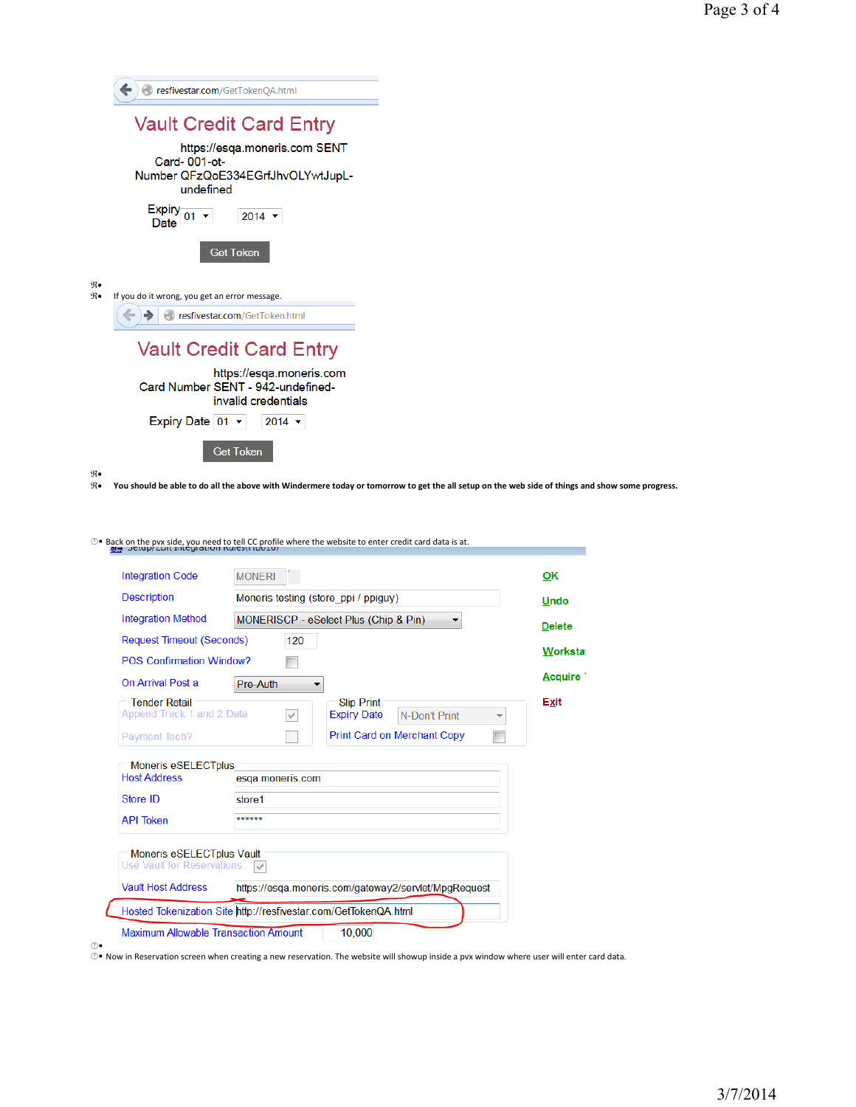|              | resfivestar.com/GetTokenQA.html                                                                                                                 |
|--------------|-------------------------------------------------------------------------------------------------------------------------------------------------|
|              |                                                                                                                                                 |
|              | <b>Vault Credit Card Entry</b>                                                                                                                  |
|              | https://esqa.moneris.com SENT<br>Card-001-ot-<br>Number QFzQoE334EGrfJhvOLYwtJupL-                                                              |
|              | undefined                                                                                                                                       |
|              | Expiry $_{01}$ $\sim$<br>$2014$ $\sim$<br>Date                                                                                                  |
|              | <b>Get Token</b>                                                                                                                                |
| $\Re\bullet$ |                                                                                                                                                 |
| $\Re\bullet$ | If you do it wrong, you get an error message.                                                                                                   |
|              | resfivestar.com/GetToken.html                                                                                                                   |
|              |                                                                                                                                                 |
|              | <b>Vault Credit Card Entry</b>                                                                                                                  |
|              |                                                                                                                                                 |
|              | https://esqa.moneris.com<br>Card Number SENT - 942-undefined-                                                                                   |
|              | invalid credentials                                                                                                                             |
|              | Expiry Date 01 v<br>$2014$ $\star$                                                                                                              |
|              |                                                                                                                                                 |
|              | <b>Get Token</b>                                                                                                                                |
| $\Re\bullet$ |                                                                                                                                                 |
| $\Re\bullet$ | You should be able to do all the above with Windermere today or tomorrow to get the all setup on the web side of things and show some progress. |
|              |                                                                                                                                                 |
|              |                                                                                                                                                 |

**<sup>1</sup>** Back on the pvx side, you need to tell CC profile where the website to enter credit card data is at.

| <b>Integration Code</b>                                              | <b>MONERI</b>                                                                                        | OK            |  |  |
|----------------------------------------------------------------------|------------------------------------------------------------------------------------------------------|---------------|--|--|
| <b>Description</b>                                                   | Moneris testing (store ppi / ppiguy)                                                                 |               |  |  |
| <b>Integration Method</b>                                            | MONERISCP - eSelect Plus (Chip & Pin)                                                                | <b>Delete</b> |  |  |
| <b>Request Timeout (Seconds)</b>                                     | 120                                                                                                  |               |  |  |
| <b>POS Confirmation Window?</b>                                      |                                                                                                      | Workstat      |  |  |
| On Arrival Post a                                                    | Pre-Auth                                                                                             | Acquire 1     |  |  |
| <b>Tender Retail</b><br>Append Track 1 and 2 Data                    | <b>Slip Print</b><br><b>Expiry Date</b><br>$\checkmark$<br>N-Don't Print<br>$\overline{\phantom{a}}$ | Exit          |  |  |
|                                                                      |                                                                                                      |               |  |  |
|                                                                      | <b>Print Card on Merchant Copy</b>                                                                   |               |  |  |
|                                                                      |                                                                                                      |               |  |  |
| <b>Moneris eSELECTplus</b>                                           | esga.moneris.com                                                                                     |               |  |  |
|                                                                      | store1                                                                                               |               |  |  |
| Payment Tech?<br><b>Host Address</b><br>Store ID<br><b>API Token</b> | ******                                                                                               |               |  |  |
| Moneris eSELECTplus Vault<br><b>Use Vault for Reservations</b>       |                                                                                                      |               |  |  |
| <b>Vault Host Address</b>                                            | https://esga.moneris.com/gateway2/servlet/MpgRequest                                                 |               |  |  |

⊕■<br>⊕■ Now in Reservation screen when creating a new reservation. The website will showup inside a pvx window where user will enter card data.